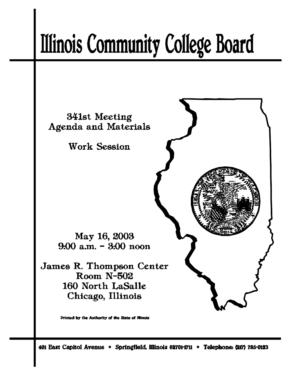# **Illinois Community College Board**



Printed by the Authority of the State of Illinois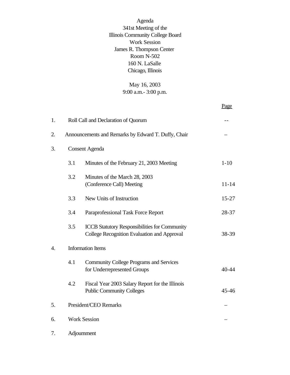Agenda 341st Meeting of the Illinois Community College Board Work Session James R. Thompson Center Room N-502 160 N. LaSalle Chicago, Illinois

# May 16, 2003 9:00 a.m.- 3:00 p.m.

Page

| 1.               |                          | Roll Call and Declaration of Quorum                                                                 |           |
|------------------|--------------------------|-----------------------------------------------------------------------------------------------------|-----------|
| 2.               |                          | Announcements and Remarks by Edward T. Duffy, Chair                                                 |           |
| 3.               | <b>Consent Agenda</b>    |                                                                                                     |           |
|                  | 3.1                      | Minutes of the February 21, 2003 Meeting                                                            | $1 - 10$  |
|                  | 3.2                      | Minutes of the March 28, 2003<br>(Conference Call) Meeting                                          | $11 - 14$ |
|                  | 3.3                      | New Units of Instruction                                                                            | $15 - 27$ |
|                  | 3.4                      | Paraprofessional Task Force Report                                                                  | 28-37     |
|                  | 3.5                      | <b>ICCB Statutory Responsibilities for Community</b><br>College Recognition Evaluation and Approval | 38-39     |
| $\overline{4}$ . | <b>Information Items</b> |                                                                                                     |           |
|                  | 4.1                      | <b>Community College Programs and Services</b><br>for Underrepresented Groups                       | $40 - 44$ |
|                  | 4.2                      | Fiscal Year 2003 Salary Report for the Illinois<br><b>Public Community Colleges</b>                 | $45 - 46$ |
| 5.               |                          | President/CEO Remarks                                                                               |           |
| 6.               |                          | <b>Work Session</b>                                                                                 |           |
| 7.               |                          | Adjournment                                                                                         |           |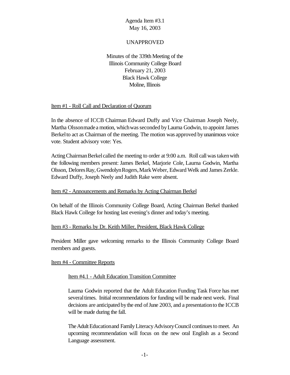#### UNAPPROVED

Minutes of the 339th Meeting of the Illinois Community College Board February 21, 2003 Black Hawk College Moline, Illinois

#### Item #1 - Roll Call and Declaration of Quorum

In the absence of ICCB Chairman Edward Duffy and Vice Chairman Joseph Neely, Martha Olsson made a motion, which was seconded by Laurna Godwin, to appoint James Berkel to act as Chairman of the meeting. The motion was approved by unanimous voice vote. Student advisory vote: Yes.

Acting Chairman Berkel called the meeting to order at 9:00 a.m. Roll call was taken with the following members present: James Berkel, Marjorie Cole, Laurna Godwin, Martha Olsson, DeloresRay,GwendolynRogers,MarkWeber, Edward Welk and James Zerkle. Edward Duffy, Joseph Neely and Judith Rake were absent.

#### Item #2 - Announcements and Remarks by Acting Chairman Berkel

On behalf of the Illinois Community College Board, Acting Chairman Berkel thanked Black Hawk College for hosting last evening's dinner and today's meeting.

#### Item #3 - Remarks by Dr. Keith Miller, President, Black Hawk College

President Miller gave welcoming remarks to the Illinois Community College Board members and guests.

#### Item #4 - Committee Reports

#### Item #4.1 - Adult Education Transition Committee

Laurna Godwin reported that the Adult Education Funding Task Force has met several times. Initial recommendations for funding will be made next week. Final decisions are anticipated by the end of June 2003, and a presentation to the ICCB will be made during the fall.

The Adult Education and Family Literacy Advisory Council continues to meet. An upcoming recommendation will focus on the new oral English as a Second Language assessment.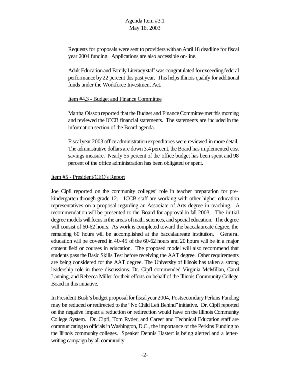Requests for proposals were sent to providers withanApril 18 deadline for fiscal year 2004 funding. Applications are also accessible on-line.

Adult Education and Family Literacy staff was congratulated for exceeding federal performance by22 percent this past year. This helps Illinois qualify for additional funds under the Workforce Investment Act.

#### Item #4.3 - Budget and Finance Committee

Martha Olsson reported that the Budget and Finance Committee met this morning and reviewed the ICCB financial statements. The statements are included in the information section of the Board agenda.

Fiscalyear 2003 office administrationexpenditures were reviewed in more detail. The administrative dollars are down 3.4 percent, the Board has implemented cost savings measure. Nearly 55 percent of the office budget has been spent and 98 percent of the office administration has been obligated or spent.

## Item #5 - President/CEO's Report

Joe Cipfl reported on the community colleges' role in teacher preparation for prekindergarten through grade 12. ICCB staff are working with other higher education representatives on a proposal regarding an Associate of Arts degree in teaching. A recommendation will be presented to the Board for approval in fall 2003. The initial degree models will focus in the areas of math, sciences, and special education. The degree will consist of 60-62 hours. As work is completed toward the baccalaureate degree, the remaining 60 hours will be accomplished at the baccalaureate institution. General education will be covered in 40-45 of the 60-62 hours and 20 hours will be in a major content field or courses in education. The proposed model will also recommend that students pass the Basic Skills Test before receiving the AAT degree. Other requirements are being considered for the AAT degree. The University of Illinois has taken a strong leadership role in these discussions. Dr. Cipfl commended Virginia McMillan, Carol Lanning, and Rebecca Miller for their efforts on behalf of the Illinois Community College Board in this initiative.

In President Bush's budget proposal for fiscal year 2004, Postsecondary Perkins Funding may be reduced or redirected to the "No Child Left Behind"initiative. Dr. Cipfl reported on the negative impact a reduction or redirection would have on the Illinois Community College System. Dr. Cipfl, Tom Ryder, and Career and Technical Education staff are communicating to officials in Washington, D.C., the importance of the Perkins Funding to the Illinois community colleges. Speaker Dennis Hastert is being alerted and a letterwriting campaign by all community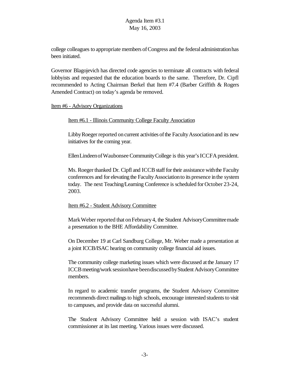college colleagues to appropriate members of Congress and the federal administration has been initiated.

Governor Blagojevich has directed code agencies to terminate all contracts with federal lobbyists and requested that the education boards to the same. Therefore, Dr. Cipfl recommended to Acting Chairman Berkel that Item #7.4 (Barber Griffith & Rogers Amended Contract) on today's agenda be removed.

#### Item #6 - Advisory Organizations

#### Item #6.1 - Illinois Community College Faculty Association

Libby Roeger reported on current activities of the Faculty Association and its new initiatives for the coming year.

Ellen Lindeen of Waubonsee Community College is this year's ICCFA president.

Ms. Roeger thanked Dr. Cipfl and ICCB staff for their assistance with the Faculty conferences and for elevating the FacultyAssociationto its presence inthe system today. The next Teaching/Learning Conference is scheduled for October 23-24, 2003.

## Item #6.2 - Student Advisory Committee

Mark Weber reported that on February 4, the Student Advisory Committee made a presentation to the BHE Affordability Committee.

On December 19 at Carl Sandburg College, Mr. Weber made a presentation at a joint ICCB/ISAC hearing on community college financial aid issues.

The community college marketing issues which were discussed at the January 17 ICCB meeting/work session have been discussed by Student Advisory Committee members.

In regard to academic transfer programs, the Student Advisory Committee recommends direct mailings to high schools, encourage interested students to visit to campuses, and provide data on successful alumni.

The Student Advisory Committee held a session with ISAC's student commissioner at its last meeting. Various issues were discussed.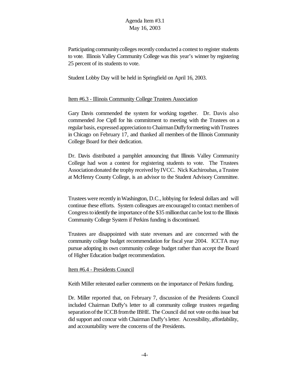Participating community colleges recently conducted a contest to register students to vote. Illinois Valley Community College was this year's winner by registering 25 percent of its students to vote.

Student Lobby Day will be held in Springfield on April 16, 2003.

## Item #6.3 - Illinois Community College Trustees Association

Gary Davis commended the system for working together. Dr. Davis also commended Joe Cipfl for his commitment to meeting with the Trustees on a regular basis, expressed appreciation to Chairman Duffy for meeting with Trustees in Chicago on February 17, and thanked all members of the Illinois Community College Board for their dedication.

Dr. Davis distributed a pamphlet announcing that Illinois Valley Community College had won a contest for registering students to vote. The Trustees Associationdonated the trophy received byIVCC. Nick Kachiroubas, a Trustee at McHenry County College, is an advisor to the Student Advisory Committee.

Trustees were recently inWashington, D.C., lobbying for federal dollars and will continue these efforts. System colleagues are encouraged to contact members of Congresstoidentify the importance ofthe \$35 millionthat canbe lost to the Illinois Community College System if Perkins funding is discontinued.

Trustees are disappointed with state revenues and are concerned with the community college budget recommendation for fiscal year 2004. ICCTA may pursue adopting its own community college budget rather than accept the Board of Higher Education budget recommendation.

#### Item #6.4 - Presidents Council

Keith Miller reiterated earlier comments on the importance of Perkins funding.

Dr. Miller reported that, on February 7, discussion of the Presidents Council included Chairman Duffy's letter to all community college trustees regarding separation of the ICCB from the IBHE. The Council did not vote on this issue but did support and concur with Chairman Duffy'sletter. Accessibility, affordability, and accountability were the concerns of the Presidents.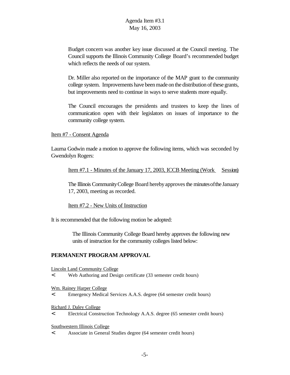Budget concern was another key issue discussed at the Council meeting. The Council supports the Illinois Community College Board's recommended budget which reflects the needs of our system.

Dr. Miller also reported on the importance of the MAP grant to the community college system. Improvements have been made on the distribution of these grants, but improvements need to continue in ways to serve students more equally.

The Council encourages the presidents and trustees to keep the lines of communication open with their legislators on issues of importance to the community college system.

Item #7 - Consent Agenda

Laurna Godwin made a motion to approve the following items, which was seconded by Gwendolyn Rogers:

Item #7.1 - Minutes of the January 17, 2003, ICCB Meeting (Work Session)

The Illinois Community College Board hereby approves the minutes of the January 17, 2003, meeting as recorded.

Item #7.2 - New Units of Instruction

It is recommended that the following motion be adopted:

 The Illinois Community College Board hereby approves the following new units of instruction for the community colleges listed below:

## **PERMANENT PROGRAM APPROVAL**

Lincoln Land Community College

< Web Authoring and Design certificate (33 semester credit hours)

Wm. Rainey Harper College

< Emergency Medical Services A.A.S. degree (64 semester credit hours)

#### Richard J. Daley College

< Electrical Construction Technology A.A.S. degree (65 semester credit hours)

Southwestern Illinois College

< Associate in General Studies degree (64 semester credit hours)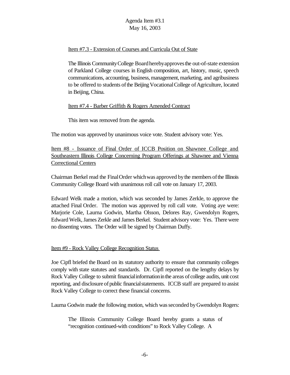## Item #7.3 - Extension of Courses and Curricula Out of State

The Illinois CommunityCollege Boardherebyapprovesthe out-of-state extension of Parkland College courses in English composition, art, history, music, speech communications, accounting, business, management, marketing, and agribusiness to be offered to students of the Beijing Vocational College of Agriculture, located in Beijing, China.

## Item #7.4 - Barber Griffith & Rogers Amended Contract

This item was removed from the agenda.

The motion was approved by unanimous voice vote. Student advisory vote: Yes.

Item #8 - Issuance of Final Order of ICCB Position on Shawnee College and Southeastern Illinois College Concerning Program Offerings at Shawnee and Vienna Correctional Centers

Chairman Berkel read the FinalOrder whichwas approved bythe members ofthe Illinois Community College Board with unanimous roll call vote on January 17, 2003.

Edward Welk made a motion, which was seconded by James Zerkle, to approve the attached Final Order. The motion was approved by roll call vote. Voting aye were: Marjorie Cole, Laurna Godwin, Martha Olsson, Delores Ray, Gwendolyn Rogers, Edward Welk,James Zerkle and JamesBerkel. Student advisory vote: Yes. There were no dissenting votes. The Order will be signed by Chairman Duffy.

## Item #9 - Rock Valley College Recognition Status

Joe Cipfl briefed the Board on its statutory authority to ensure that community colleges comply with state statutes and standards. Dr. Cipfl reported on the lengthy delays by Rock Valley College to submit financialinformationinthe areas of college audits, unit cost reporting, and disclosure of public financial statements. ICCB staff are prepared to assist Rock Valley College to correct these financial concerns.

Laurna Godwin made the following motion, which was seconded by Gwendolyn Rogers:

The Illinois Community College Board hereby grants a status of "recognition continued-with conditions" to Rock Valley College. A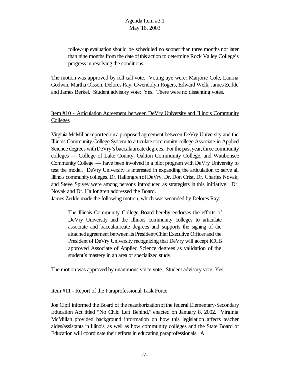follow-up evaluation should be scheduled no sooner than three months nor later than nine months from the date ofthis action to determine Rock Valley College's progress in resolving the conditions.

The motion was approved by roll call vote. Voting aye were: Marjorie Cole, Laurna Godwin, Martha Olsson, Delores Ray, Gwendolyn Rogers, Edward Welk, James Zerkle and James Berkel. Student advisory vote: Yes. There were no dissenting votes.

# Item #10 - Articulation Agreement between DeVry University and Illinois Community **Colleges**

Virginia McMillanreported ona proposed agreement between DeVry University and the Illinois Community College System to articulate community college Associate in Applied Science degrees with DeVry's baccalaureate degrees. For the past year, three community colleges — College of Lake County, Oakton Community College, and Waubonsee Community College — have been involved in a pilot program with DeVry University to test the model. DeVry University is interested in expanding the articulation to serve all Illinois communitycolleges. Dr. HallongrenofDeVry, Dr. Don Crist, Dr. Charles Novak, and Steve Spivey were among persons introduced as strategists in this initiative. Dr. Novak and Dr. Hallongren addressed the Board.

James Zerkle made the following motion, which was seconded by Delores Ray:

The Illinois Community College Board hereby endorses the efforts of DeVry University and the Illinois community colleges to articulate associate and baccalaureate degrees and supports the signing of the attached agreement between its President/Chief Executive Officer and the President of DeVry University recognizing that DeVry will accept ICCB approved Associate of Applied Science degrees as validation of the student's mastery in an area of specialized study.

The motion was approved by unanimous voice vote. Student advisory vote: Yes.

## Item #11 - Report of the Paraprofessional Task Force

Joe Cipfl informed the Board of the reauthorizationofthe federal Elementary-Secondary Education Act titled "No Child Left Behind," enacted on January 8, 2002. Virginia McMillan provided background information on how this legislation affects teacher aides/assistants in Illinois, as well as how community colleges and the State Board of Education will coordinate their efforts in educating paraprofessionals. A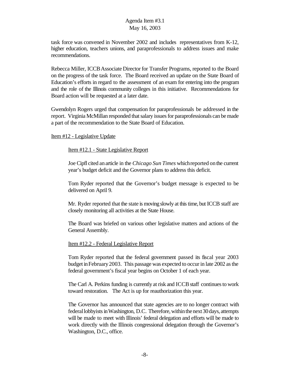task force was convened in November 2002 and includes representatives from K-12, higher education, teachers unions, and paraprofessionals to address issues and make recommendations.

Rebecca Miller, ICCB Associate Director for Transfer Programs, reported to the Board on the progress of the task force. The Board received an update on the State Board of Education's efforts in regard to the assessment of an exam for entering into the program and the role of the Illinois community colleges in this initiative. Recommendations for Board action will be requested at a later date.

Gwendolyn Rogers urged that compensation for paraprofessionals be addressed in the report. Virginia McMillan responded that salary issues for paraprofessionals can be made a part of the recommendation to the State Board of Education.

#### Item #12 - Legislative Update

#### Item #12.1 - State Legislative Report

Joe Cipfl cited anarticle in the *Chicago Sun Times* whichreported onthe current year's budget deficit and the Governor plans to address this deficit.

Tom Ryder reported that the Governor's budget message is expected to be delivered on April 9.

Mr. Ryder reported that the state is moving slowly at this time, but ICCB staff are closely monitoring all activities at the State House.

The Board was briefed on various other legislative matters and actions of the General Assembly.

#### Item #12.2 - Federal Legislative Report

Tom Ryder reported that the federal government passed its fiscal year 2003 budget inFebruary2003. This passage was expected to occur in late 2002 as the federal government's fiscal year begins on October 1 of each year.

The Carl A. Perkins funding is currently at risk and ICCB staff continues to work toward restoration. The Act is up for reauthorization this year.

The Governor has announced that state agencies are to no longer contract with federal lobbyists in Washington, D.C. Therefore, within the next 30 days, attempts will be made to meet with Illinois' federal delegation and efforts will be made to work directly with the Illinois congressional delegation through the Governor's Washington, D.C., office.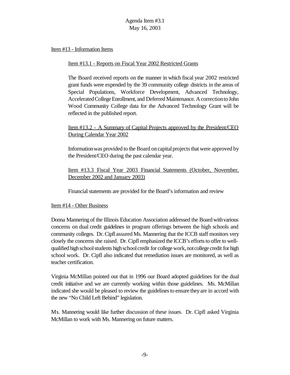## Item #13 - Information Items

# Item #13.1 - Reports on Fiscal Year 2002 Restricted Grants

The Board received reports on the manner in which fiscal year 2002 restricted grant funds were expended by the 39 community college districts in the areas of Special Populations, Workforce Development, Advanced Technology, Accelerated College Enrollment, and Deferred Maintenance. A correction to John Wood Community College data for the Advanced Technology Grant will be reflected in the published report.

# Item #13.2 - A Summary of Capital Projects approved by the President/CEO During Calendar Year 2002

Information was provided to the Board on capital projects that were approved by the President/CEO during the past calendar year.

Item #13.3 Fiscal Year 2003 Financial Statements (October, November, December 2002 and January 2003)

Financial statements are provided for the Board's information and review

## Item #14 - Other Business

Donna Mannering of the Illinois Education Association addressed the Board withvarious concerns on dual credit guidelines in program offerings between the high schools and community colleges. Dr. Cipfl assured Ms. Mannering that the ICCB staff monitors very closely the concerns she raised. Dr. Cipfl emphasized the ICCB's efforts to offer to wellqualified high school students high school credit for college work, not college credit for high school work. Dr. Cipfl also indicated that remediation issues are monitored, as well as teacher certification.

Virginia McMillan pointed out that in 1996 our Board adopted guidelines for the dual credit initiative and we are currently working within those guidelines. Ms. McMillan indicated she would be pleased to review the guidelines to ensure they are in accord with the new "No Child Left Behind" legislation.

Ms. Mannering would like further discussion of these issues. Dr. Cipfl asked Virginia McMillan to work with Ms. Mannering on future matters.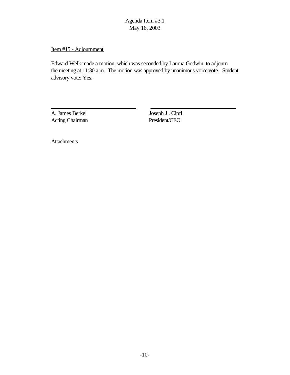Item #15 - Adjournment

Edward Welk made a motion, which was seconded by Laurna Godwin, to adjourn the meeting at 11:30 a.m. The motion was approved by unanimous voice vote. Student advisory vote: Yes.

A. James Berkel Joseph J . Cipfl Acting Chairman President/CEO

 $\overline{a}$ 

**Attachments**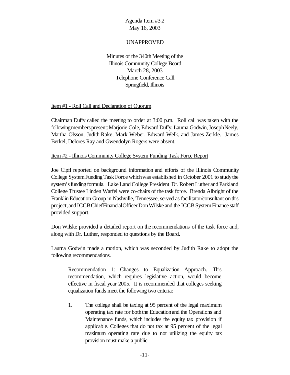#### UNAPPROVED

Minutes of the 340th Meeting of the Illinois Community College Board March 28, 2003 Telephone Conference Call Springfield, Illinois

#### Item #1 - Roll Call and Declaration of Quorum

Chairman Duffy called the meeting to order at 3:00 p.m. Roll call was taken with the following members present: Marjorie Cole, Edward Duffy, Laurna Godwin, Joseph Neely, Martha Olsson, Judith Rake, Mark Weber, Edward Welk, and James Zerkle. James Berkel, Delores Ray and Gwendolyn Rogers were absent.

#### Item #2 - Illinois Community College System Funding Task Force Report

Joe Cipfl reported on background information and efforts of the Illinois Community College SystemFundingTask Force whichwas established in October 2001 to studythe system's funding formula. Lake Land College President Dr. Robert Luther and Parkland College Trustee Linden Warfel were co-chairs of the task force. Brenda Albright of the FranklinEducation Group in Nashville, Tennessee, served as facilitator/consultant onthis project, and ICCB ChiefFinancial Officer Don Wilske and the ICCB System Finance staff provided support.

Don Wilske provided a detailed report on the recommendations of the task force and, along with Dr. Luther, responded to questions by the Board.

Laurna Godwin made a motion, which was seconded by Judith Rake to adopt the following recommendations.

Recommendation 1: Changes to Equalization Approach. This recommendation, which requires legislative action, would become effective in fiscal year 2005. It is recommended that colleges seeking equalization funds meet the following two criteria:

1. The college shall be taxing at 95 percent of the legal maximum operating tax rate for boththe Educationand the Operations and Maintenance funds, which includes the equity tax provision if applicable. Colleges that do not tax at 95 percent of the legal maximum operating rate due to not utilizing the equity tax provision must make a public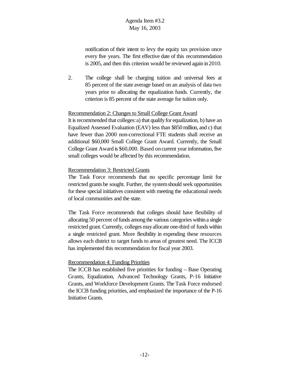notification of their intent to levy the equity tax provision once every five years. The first effective date of this recommendation is 2005, and then this criterion would be reviewed again in2010.

2. The college shall be charging tuition and universal fees at 85 percent of the state average based on an analysis of data two years prior to allocating the equalization funds. Currently, the criterion is 85 percent of the state average for tuition only.

#### Recommendation 2: Changes to Small College Grant Award

It is recommended that colleges: a) that qualify for equalization, b) have an Equalized Assessed Evaluation (EAV) less than \$850 million, and c) that have fewer than 2000 non-correctional FTE students shall receive an additional \$60,000 Small College Grant Award. Currently, the Small College Grant Award is \$60,000. Based on current year information, five small colleges would be affected by this recommendation.

#### Recommendation 3: Restricted Grants

The Task Force recommends that no specific percentage limit for restricted grants be sought. Further, the systemshould seek opportunities for these special initiatives consistent with meeting the educational needs of local communities and the state.

The Task Force recommends that colleges should have flexibility of allocating 50 percent of funds among the various categories within a single restricted grant. Currently, colleges may allocate one-third of funds within a single restricted grant. More flexibility in expending these resources allows each district to target funds to areas of greatest need. The ICCB has implemented this recommendation for fiscal year 2003.

## Recommendation 4: Funding Priorities

The ICCB has established five priorities for funding – Base Operating Grants, Equalization, Advanced Technology Grants, P-16 Initiative Grants, and Workforce Development Grants. The Task Force endorsed the ICCB funding priorities, and emphasized the importance of the P-16 Initiative Grants.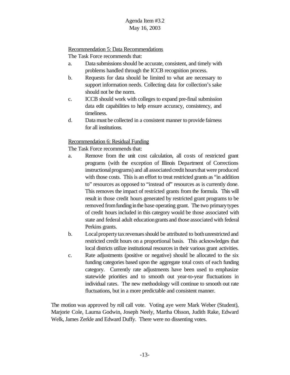#### Recommendation 5: Data Recommendations

The Task Force recommends that:

- a. Data submissions should be accurate, consistent, and timely with problems handled through the ICCB recognition process.
- b. Requests for data should be limited to what are necessary to support information needs. Collecting data for collection's sake should not be the norm.
- c. ICCB should work with colleges to expand pre-final submission data edit capabilities to help ensure accuracy, consistency, and timeliness.
- d. Data must be collected in a consistent manner to provide fairness for all institutions.

# Recommendation 6: Residual Funding

The Task Force recommends that:

- a. Remove from the unit cost calculation, all costs of restricted grant programs (with the exception of Illinois Department of Corrections instructional programs) and all associated credit hours that were produced with those costs. This is an effort to treat restricted grants as "in addition to" resources as opposed to "instead of" resources as is currently done. This removes the impact of restricted grants from the formula. This will result in those credit hours generated by restricted grant programs to be removed from funding in the base operating grant. The two primary types of credit hours included in this category would be those associated with state and federal adult educationgrants and those associated with federal Perkins grants.
- b. Local property tax revenues should be attributed to both unrestricted and restricted credit hours on a proportional basis. This acknowledges that local districts utilize institutional resources in their various grant activities.
- c. Rate adjustments (positive or negative) should be allocated to the six funding categories based upon the aggregate total costs of each funding category. Currently rate adjustments have been used to emphasize statewide priorities and to smooth out year-to-year fluctuations in individual rates. The new methodology will continue to smooth out rate fluctuations, but in a more predictable and consistent manner.

The motion was approved by roll call vote. Voting aye were Mark Weber (Student), Marjorie Cole, Laurna Godwin, Joseph Neely, Martha Olsson, Judith Rake, Edward Welk, James Zerkle and Edward Duffy. There were no dissenting votes.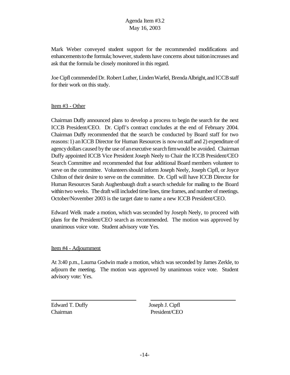Mark Weber conveyed student support for the recommended modifications and enhancements to the formula; however, students have concerns about tuition increases and ask that the formula be closely monitored in this regard.

Joe Cipfl commended Dr. Robert Luther, Linden Warfel, Brenda Albright, and ICCB staff for their work on this study.

#### Item #3 - Other

Chairman Duffy announced plans to develop a process to begin the search for the next ICCB President/CEO. Dr. Cipfl's contract concludes at the end of February 2004. Chairman Duffy recommended that the search be conducted by Board staff for two reasons:1) anICCB Director for Human Resources is nowonstaff and 2) expenditure of agency dollars caused by the use of an executive search firm would be avoided. Chairman Duffy appointed ICCB Vice President Joseph Neely to Chair the ICCB President/CEO Search Committee and recommended that four additional Board members volunteer to serve on the committee. Volunteersshould inform Joseph Neely, Joseph Cipfl, or Joyce Chilton of their desire to serve on the committee. Dr. Cipfl will have ICCB Director for Human Resources Sarah Aughenbaugh draft a search schedule for mailing to the Board within two weeks. The draft will included time lines, time frames, and number of meetings. October/November 2003 is the target date to name a new ICCB President/CEO.

Edward Welk made a motion, which was seconded by Joseph Neely, to proceed with plans for the President/CEO search as recommended. The motion was approved by unanimous voice vote. Student advisory vote Yes.

#### Item #4 - Adjournment

At 3:40 p.m., Laurna Godwin made a motion, which was seconded by James Zerkle, to adjourn the meeting. The motion was approved by unanimous voice vote. Student advisory vote: Yes.

Edward T. Duffy Joseph J. Cipfl Chairman President/CEO

 $\overline{a}$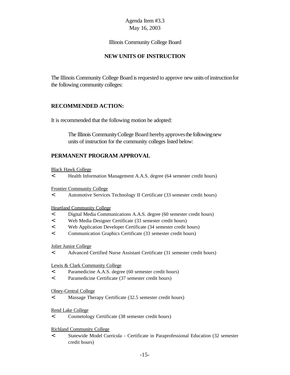Illinois Community College Board

# **NEW UNITS OF INSTRUCTION**

The Illinois Community College Board is requested to approve new units of instruction for the following community colleges:

# **RECOMMENDED ACTION:**

It is recommended that the following motion be adopted:

The Illinois Community College Board hereby approves the following new units of instruction for the community colleges listed below:

# **PERMANENT PROGRAM APPROVAL**

Black Hawk College

< Health Information Management A.A.S. degree (64 semester credit hours)

Frontier Community College

< Automotive Services Technology II Certificate (33 semester credit hours)

Heartland Community College

- < Digital Media Communications A.A.S. degree (60 semester credit hours)
- < Web Media Designer Certificate (33 semester credit hours)
- < Web Application Developer Certificate (34 semester credit hours)
- < Communication Graphics Certificate (33 semester credit hours)

#### Joliet Junior College

< Advanced Certified Nurse Assistant Certificate (31 semester credit hours)

#### Lewis & Clark Community College

- < Paramedicine A.A.S. degree (60 semester credit hours)
- < Paramedicine Certificate (37 semester credit hours)

#### Olney-Central College

< Massage Therapy Certificate (32.5 semester credit hours)

#### Rend Lake College

< Cosmetology Certificate (38 semester credit hours)

#### Richland Community College

< Statewide Model Curricula - Certificate in Paraprofessional Education (32 semester credit hours)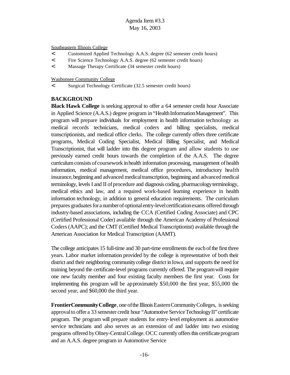Southeastern Illinois College

- < Customized Applied Technology A.A.S. degree (62 semester credit hours)
- < Fire Science Technology A.A.S. degree (62 semester credit hours)
- < Massage Therapy Certificate (34 semester credit hours)

Waubonsee Community College

< Surgical Technology Certificate (32.5 semester credit hours)

## **BACKGROUND**

**Black Hawk College** is seeking approval to offer a 64 semester credit hour Associate in Applied Science (A.A.S.) degree program in "Health Information Management". This program will prepare individuals for employment in health information technology as medical records technicians, medical coders and billing specialists, medical transcriptionists, and medical office clerks. The college currently offers three certificate programs, Medical Coding Specialist, Medical Billing Specialist, and Medical Transcriptionist, that will ladder into this degree program and allow students to use previously earned credit hours towards the completion of the A.A.S. The degree curriculum consists of coursework in health information processing, management of health information, medical management, medical office procedures, introductory health insurance, beginning and advanced medical transcription, beginning and advanced medical terminology, levels I and II of procedure and diagnosis coding, pharmacology terminology, medical ethics and law, and a required work-based learning experience in health information technology, in addition to general education requirements. The curriculum prepares graduates for a number of optional entry-level certification exams offered through industry-based associations, including the CCA (Certified Coding Associate) and CPC (Certified Professional Coder) available through the American Academy of Professional Coders(AAPC); and the CMT (Certified Medical Transcriptionist) available through the American Association for Medical Transcription (AAMT).

The college anticipates 15 full-time and 30 part-time enrollments the each of the first three years. Labor market information provided by the college is representative of both their district and their neighboring community college district in Iowa, and supports the need for training beyond the certificate-level programs currently offered. The programwill require one new faculty member and four existing faculty members the first year. Costs for implementing this program will be approximately \$50,000 the first year, \$55,000 the second year, and \$60,000 the third year.

**FrontierCommunity College**, one of the Illinois Eastern Community Colleges, is seeking approval to offer a 33 semester credit hour "Automotive Service Technology II" certificate program. The program will prepare students for entry-level employment as automotive service technicians and also serves as an extension of and ladder into two existing programs offered byOlney-CentralCollege. OCC currently offersthis certificateprogram and an A.A.S. degree program in Automotive Service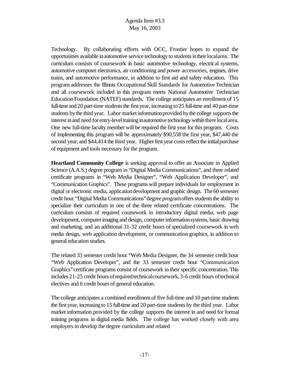Technology. By collaborating efforts with OCC, Frontier hopes to expand the opportunities available in automotive service technology to students in their localarea. The curriculum consists of coursework in basic automotive technology, electrical systems, automotive computer electronics, air conditioning and power accessories, engines, drive trains, and automotive performance, in addition to first aid and safety education. This program addresses the Illinois Occupational Skill Standards for Automotive Technician and all coursework included in this program meets National Automotive Technician Education Foundation (NATEF) standards. The college anticipates an enrollment of 15 full-time and 20 part-time students the first year, increasing to  $25$  full-time and  $40$  part-time students by the third year. Labor market information provided by the college supports the interest in and need for entry-level training in automotive technology within there local area. One new full-time faculty member will be required the first year for this program. Costs of implementing this program will be approximately \$90,558 the first year, \$47,440 the second year, and \$44,414 the third year. Higher first year costs reflect the initial purchase of equipment and tools necessary for the program.

**Heartland Community College** is seeking approval to offer an Associate in Applied Science (A.A.S.) degree program in "Digital Media Communications", and three related certificate programs in "Web Media Designer", "Web Application Developer", and "Communication Graphics". These programs will prepare individuals for employment in digital or electronic media, applicationdevelopment and graphic design. The 60 semester credit hour "Digital Media Communications"degree programoffersstudentsthe ability to specialize their curriculum in one of the three related certificate concentrations. The curriculum consists of required coursework in introductory digital media, web page development, computer imaging and design, computer information systems, basic drawing and marketing, and an additional 31-32 credit hours of specialized coursework in web media design, web application development, or communication graphics, in addition to general education studies.

The related 33 semester credit hour "Web Media Designer, the 34 semester credit hour "Web Application Developer", and the 33 semester credit hour "Communication Graphics" certificate programs consist of coursework in their specific concentration. This includes  $21-25$  credit hours of required technical coursework,  $3-6$  credit hours of technical electives and 6 credit hours of general education.

The college anticipates a combined enrollment of five full-time and 10 part-time students the first year, increasing to 15 full-time and 20 part-time students by the third year. Labor market information provided by the college supports the interest in and need for formal training programs in digital media fields. The college has worked closely with area employers to develop the degree curriculum and related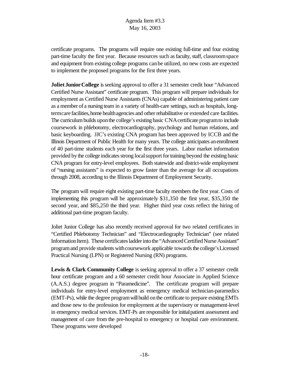certificate programs. The programs will require one existing full-time and four existing part-time faculty the first year. Because resources such as faculty, staff, classroom space and equipment from existing college programs canbe utilized, no new costs are expected to implement the proposed programs for the first three years.

**Joliet Junior College** is seeking approval to offer a 31 semester credit hour "Advanced" Certified Nurse Assistant" certificate program. This program will prepare individuals for employment as Certified Nurse Assistants (CNAs) capable of administering patient care as a member of a nursing team in a variety of health-care settings, such as hospitals, longterm care facilities, home health agencies and other rehabilitative or extended care facilities. The curriculum builds upon the college's existing basic CNA certificate program to include coursework in phlebotomy, electrocardiography, psychology and human relations, and basic keyboarding. JJC's existing CNA program has been approved by ICCB and the Illinois Department of Public Health for many years. The college anticipates anenrollment of 40 part-time students each year for the first three years. Labor market information provided by the college indicates strong local support for training beyond the existing basic CNA program for entry-level employees. Both statewide and district-wide employment of "nursing assistants" is expected to grow faster than the average for all occupations through 2008, according to the Illinois Department of Employment Security.

The program will require eight existing part-time faculty members the first year. Costs of implementing this program will be approximately \$31,350 the first year, \$35,350 the second year, and \$85,250 the third year. Higher third year costs reflect the hiring of additional part-time program faculty.

Joliet Junior College has also recently received approval for two related certificates in "Certified Phlebotomy Technician" and "Electrocardiography Technician" (see related Information Item). These certificates ladder into the "Advanced Certified Nurse Assistant" program and provide students with coursework applicable towards the college's Licensed Practical Nursing (LPN) or Registered Nursing (RN) programs.

**Lewis & Clark Community College** is seeking approval to offer a 37 semester credit hour certificate program and a 60 semester credit hour Associate in Applied Science (A.A.S.) degree program in "Paramedicine". The certificate program will prepare individuals for entry-level employment as emergency medical technician-paramedics (EMT-Ps), while the degree programwillbuild onthe certificate to prepare existingEMTs and those new to the profession for employment at the supervisory or management-level in emergency medical services. EMT-Ps are responsible for initial patient assessment and management of care from the pre-hospital to emergency or hospital care environment. These programs were developed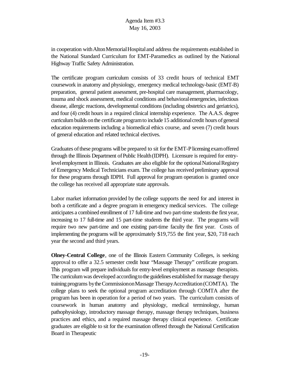in cooperation with Alton Memorial Hospital and address the requirements established in the National Standard Curriculum for EMT-Paramedics as outlined by the National Highway Traffic Safety Administration.

The certificate program curriculum consists of 33 credit hours of technical EMT coursework in anatomy and physiology, emergency medical technology-basic (EMT-B) preparation, general patient assessment, pre-hospital care management, pharmacology, trauma and shock assessment, medical conditions and behavioralemergencies, infectious disease, allergic reactions, developmental conditions (including obstetrics and geriatrics), and four (4) credit hours in a required clinical internship experience. The A.A.S. degree curriculum builds on the certificate program to include 15 additional credit hours of general education requirements including a biomedical ethics course, and seven (7) credit hours of general education and related technical electives.

Graduates of these programs will be prepared to sit for the EMT-P licensing exam offered through the Illinois Department of Public Health (IDPH). Licensure is required for entrylevel employment in Illinois. Graduates are also eligible for the optional National Registry of Emergency Medical Technicians exam. The college has received preliminary approval for these programs through IDPH. Full approval for program operation is granted once the college has received all appropriate state approvals.

Labor market information provided by the college supports the need for and interest in both a certificate and a degree program in emergency medical services. The college anticipates a combined enrollment of 17 full-time and two part-time students the first year, increasing to 17 full-time and 15 part-time students the third year. The programs will require two new part-time and one existing part-time faculty the first year. Costs of implementing the programs will be approximately \$19,755 the first year, \$20, 718 each year the second and third years.

**Olney-Central College**, one of the Illinois Eastern Community Colleges, is seeking approval to offer a 32.5 semester credit hour "Massage Therapy" certificate program. This program will prepare individuals for entry-level employment as massage therapists. The curriculum was developed according to the guidelines established for massage therapy training programs by the Commission on Massage Therapy Accreditation (COMTA). The college plans to seek the optional program accreditation through COMTA after the program has been in operation for a period of two years. The curriculum consists of coursework in human anatomy and physiology, medical terminology, human pathophysiology, introductory massage therapy, massage therapy techniques, business practices and ethics, and a required massage therapy clinical experience. Certificate graduates are eligible to sit for the examination offered through the National Certification Board in Therapeutic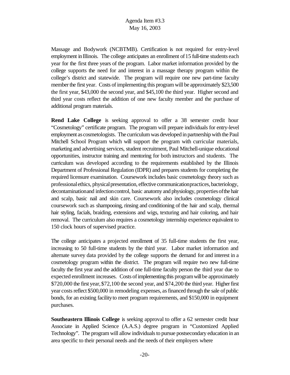Massage and Bodywork (NCBTMB). Certification is not required for entry-level employment in Illinois. The college anticipates an enrollment of 15 full-time students each year for the first three years of the program. Labor market information provided by the college supports the need for and interest in a massage therapy program within the college's district and statewide. The program will require one new part-time faculty member the first year. Costs of implementing this program will be approximately \$23,500 the first year, \$43,000 the second year, and \$45,100 the third year. Higher second and third year costs reflect the addition of one new faculty member and the purchase of additional program materials.

**Rend Lake College** is seeking approval to offer a 38 semester credit hour "Cosmetology" certificate program. The program will prepare individuals for entry-level employment as cosmetologists. The curriculum was developed in partnership with the Paul Mitchell School Program which will support the program with curricular materials, marketing and advertising services, student recruitment, Paul Mitchell-unique educational opportunities, instructor training and mentoring for both instructors and students. The curriculum was developed according to the requirements established by the Illinois Department of Professional Regulation (IDPR) and prepares students for completing the required licensure examination. Coursework includes basic cosmetology theory such as professional ethics, physical presentation, effective communication practices, bacteriology, decontamination and infection control, basic anatomy and physiology, properties of the hair and scalp, basic nail and skin care. Coursework also includes cosmetology clinical coursework such as shampooing, rinsing and conditioning of the hair and scalp, thermal hair styling, facials, braiding, extensions and wigs, texturing and hair coloring, and hair removal. The curriculum also requires a cosmetology internship experience equivalent to 150 clock hours of supervised practice.

The college anticipates a projected enrollment of 35 full-time students the first year, increasing to 50 full-time students by the third year. Labor market information and alternate survey data provided by the college supports the demand for and interest in a cosmetology program within the district. The program will require two new full-time faculty the first year and the addition of one full-time faculty person the third year due to expected enrollment increases. Costs of implementing this program will be approximately \$720,000 the first year,\$72,100 the second year, and \$74,200 the third year. Higher first year costs reflect \$500,000 in remodeling expenses, as financed through the sale of public bonds, for an existing facilityto meet program requirements, and \$150,000 in equipment purchases.

**Southeastern Illinois College** is seeking approval to offer a 62 semester credit hour Associate in Applied Science (A.A.S.) degree program in "Customized Applied Technology". The program will allow individuals to pursue postsecondary education in an area specific to their personal needs and the needs of their employers where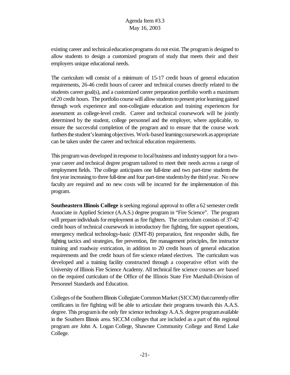existing career and technical education programs do not exist. The program is designed to allow students to design a customized program of study that meets their and their employers unique educational needs.

The curriculum will consist of a minimum of 15-17 credit hours of general education requirements, 26-46 credit hours of career and technical courses directly related to the students career goal(s), and a customized career preparation portfolio worth a maximum of20 credit hours. The portfolio course will allow students to present prior learning gained through work experience and non-collegiate education and training experiences for assessment as college-level credit. Career and technical coursework will be jointly determined by the student, college personnel and the employer, where applicable, to ensure the successful completion of the program and to ensure that the course work furthers the student's learning objectives. Work-based learning coursework as appropriate can be taken under the career and technical education requirements.

This programwas developed inresponse to localbusiness and industrysupport for a twoyear career and technical degree program tailored to meet their needs across a range of employment fields. The college anticipates one full-time and two part-time students the first year increasing to three full-time and four part-time students by the third year. No new faculty are required and no new costs will be incurred for the implementation of this program.

**Southeastern Illinois College** is seeking regional approval to offer a 62 semester credit Associate in Applied Science (A.A.S.) degree program in "Fire Science". The program will prepare individuals for employment as fire fighters. The curriculum consists of 37-42 credit hours of technical coursework in introductory fire fighting, fire support operations, emergency medical technology-basic (EMT-B) preparation, first responder skills, fire fighting tactics and strategies, fire prevention, fire management principles, fire instructor training and roadway extrication, in addition to 20 credit hours of general education requirements and five credit hours of fire science related electives. The curriculum was developed and a training facility constructed through a cooperative effort with the University of Illinois Fire Science Academy. All technical fire science courses are based on the required curriculum of the Office of the Illinois State Fire Marshall-Division of Personnel Standards and Education.

Colleges of the Southern Illinois Collegiate Common Market (SICCM) that currently offer certificates in fire fighting will be able to articulate their programs towards this A.A.S. degree. This program is the only fire science technology A.A.S. degree program available in the Southern Illinois area. SICCM colleges that are included as a part of this regional program are John A. Logan College, Shawnee Community College and Rend Lake College.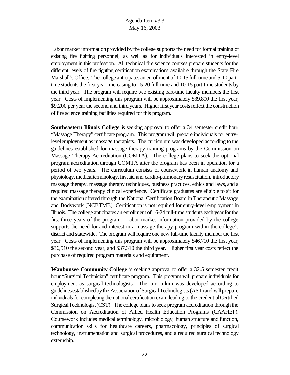Labor market information provided by the college supports the need for formal training of existing fire fighting personnel, as well as for individuals interested in entry-level employment in this profession. All technical fire science courses prepare students for the different levels of fire fighting certification examinations available through the State Fire Marshall's Office. The college anticipates an enrollment of 10-15 full-time and 5-10 parttime students the first year, increasing to 15-20 full-time and 10-15 part-time students by the third year. The program will require two existing part-time faculty members the first year. Costs of implementing this program will be approximately \$39,800 the first year, \$9,200 per year the second and third years. Higher first year costs reflect the construction of fire science training facilities required for this program.

**Southeastern Illinois College** is seeking approval to offer a 34 semester credit hour "Massage Therapy" certificate program. This program will prepare individuals for entrylevelemployment as massage therapists. The curriculum was developed according to the guidelines established for massage therapy training programs by the Commission on Massage Therapy Accreditation (COMTA). The college plans to seek the optional program accreditation through COMTA after the program has been in operation for a period of two years. The curriculum consists of coursework in human anatomy and physiology, medical terminology, first aid and cardio-pulmonary resuscitation, introductory massage therapy, massage therapy techniques, business practices, ethics and laws, and a required massage therapy clinical experience. Certificate graduates are eligible to sit for the examinationoffered through the National Certification Board inTherapeutic Massage and Bodywork (NCBTMB). Certification is not required for entry-level employment in Illinois. The college anticipates an enrollment of 16-24 full-time students each year for the first three years of the program. Labor market information provided by the college supports the need for and interest in a massage therapy program within the college's district and statewide. The program will require one new full-time faculty member the first year. Costs of implementing this program will be approximately \$46,710 the first year, \$36,510 the second year, and \$37,310 the third year. Higher first year costs reflect the purchase of required program materials and equipment.

**Waubonsee Community College** is seeking approval to offer a 32.5 semester credit hour "Surgical Technician" certificate program. This program will prepare individuals for employment as surgical technologists. The curriculum was developed according to guidelinesestablishedbythe AssociationofSurgicalTechnologists(AST) and willprepare individuals for completing the national certification exam leading to the credential Certified SurgicalTechnologist(CST). The college plans to seek program accreditation through the Commission on Accreditation of Allied Health Education Programs (CAAHEP). Coursework includes medical terminology, microbiology, human structure and function, communication skills for healthcare careers, pharmacology, principles of surgical technology, instrumentation and surgical procedures, and a required surgical technology externship.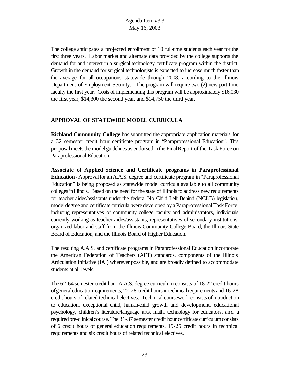The college anticipates a projected enrollment of 10 full-time students each year for the first three years. Labor market and alternate data provided by the college supports the demand for and interest in a surgical technology certificate program within the district. Growth in the demand for surgical technologists is expected to increase much faster than the average for all occupations statewide through 2008, according to the Illinois Department of Employment Security. The program will require two (2) new part-time faculty the first year. Costs of implementing this program will be approximately \$16,030 the first year, \$14,300 the second year, and \$14,750 the third year.

## **APPROVAL OF STATEWIDE MODEL CURRICULA**

**Richland Community College** has submitted the appropriate application materials for a 32 semester credit hour certificate program in "Paraprofessional Education". This proposal meets the model guidelines as endorsed in the Final Report of the Task Force on Paraprofessional Education.

**Associate of Applied Science and Certificate programs in Paraprofessional Education** - Approval for an A.A.S. degree and certificate program in "Paraprofessional Education" is being proposed as statewide model curricula available to all community colleges in Illinois. Based on the need for the state of Illinois to address new requirements for teacher aides/assistants under the federal No Child Left Behind (NCLB) legislation, model degree and certificate curricula were developed by a Paraprofessional Task Force, including representatives of community college faculty and administrators, individuals currently working as teacher aides/assistants, representatives of secondary institutions, organized labor and staff from the Illinois Community College Board, the Illinois State Board of Education, and the Illinois Board of Higher Education.

The resulting A.A.S. and certificate programs in Paraprofessional Education incorporate the American Federation of Teachers (AFT) standards, components of the Illinois Articulation Initiative (IAI) wherever possible, and are broadly defined to accommodate students at all levels.

The 62-64 semester credit hour A.A.S. degree curriculum consists of 18-22 credit hours ofgeneraleducationrequirements, 22-28 credit hoursintechnicalrequirements and 16-28 credit hours of related technical electives. Technical coursework consists ofintroduction to education, exceptional child, human/child growth and development, educational psychology, children's literature/language arts, math, technology for educators, and a required pre-clinical course. The 31-37 semester credit hour certificate curriculum consists of 6 credit hours of general education requirements, 19-25 credit hours in technical requirements and six credit hours of related technical electives.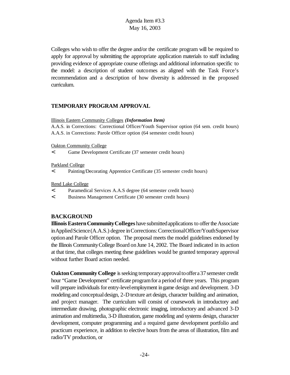Colleges who wish to offer the degree and/or the certificate program will be required to apply for approval by submitting the appropriate application materials to staff including providing evidence of appropriate course offerings and additional information specific to the model: a description of student outcomes as aligned with the Task Force's recommendation and a description of how diversity is addressed in the proposed curriculum.

#### **TEMPORARY PROGRAM APPROVAL**

#### Illinois Eastern Community Colleges *(Information Item)*

A.A.S. in Corrections: Correctional Officer/Youth Supervisor option (64 sem. credit hours) A.A.S. in Corrections: Parole Officer option (64 semester credit hours)

Oakton Community College

< Game Development Certificate (37 semester credit hours)

Parkland College

< Painting/Decorating Apprentice Certificate (35 semester credit hours)

Rend Lake College

< Paramedical Services A.A.S degree (64 semester credit hours)

< Business Management Certificate (30 semester credit hours)

## **BACKGROUND**

**Illinois Eastern Community Colleges** have submitted applications to offer the Associate inAppliedScience(A.A.S.) degree inCorrections:CorrectionalOfficer/YouthSupervisor optionand Parole Officer option. The proposal meets the model guidelines endorsed by the Illinois CommunityCollege Board onJune 14, 2002. The Board indicated in its action at that time, that colleges meeting these guidelines would be granted temporary approval without further Board action needed.

**Oakton Community College** is seeking temporary approval to offer a 37 semester credit hour "Game Development" certificate programfor a period of three years. This program will prepare individuals for entry-level employment in game design and development. 3-D modeling and conceptual design, 2-D texture art design, character building and animation, and project manager. The curriculum will consist of coursework in introductory and intermediate drawing, photographic electronic imaging, introductory and advanced 3-D animation and multimedia, 3-D illustration, game modeling and systems design, character development, computer programming and a required game development portfolio and practicum experience, in addition to elective hours from the areas of illustration, film and radio/TV production, or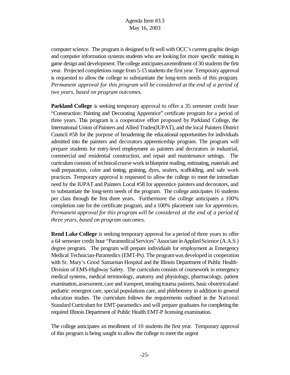computer science. The program is designed to fit well with OCC's current graphic design and computer information systems students who are looking for more specific training in game design and development. The college anticipates an enrollment of 30 students the first year. Projected completions range from 5-15 students the first year. Temporary approval is requested to allow the college to substantiate the long-term needs of this program. *Permanent approval for this program will be considered at the end of a period of two years, based on program outcomes.*

**Parkland College** is seeking temporary approval to offer a 35 semester credit hour "Construction: Painting and Decorating Apprentice" certificate program for a period of three years. This program is a cooperative effort proposed by Parkland College, the International Union ofPainters and Allied Trades(IUPAT), and the local Painters District Council #58 for the purpose of broadening the educational opportunities for individuals admitted into the painters and decorators apprenticeship program. The program will prepare students for entry-level employment as painters and decorators in industrial, commercial and residential construction, and repair and maintenance settings. The curriculum consists of technical course work in blueprint reading, estimating, materials and wall preparation, color and tinting, graining, dyes, sealers, scaffolding, and safe work practices. Temporary approval is requested to allow the college to meet the immediate need by the IUPAT and Painters Local #58 for apprentice painters and decorators, and to substantiate the long-term needs of the program. The college anticipates 16 students per class through the first three years. Furthermore the college anticipates a 100% completion rate for the certificate program, and a 100% placement rate for apprentices. *Permanent approval for this program will be considered at the end of a period of three years, based on program outcomes.*

**Rend Lake College** is seeking temporary approval for a period of three years to offer a 64 semester credit hour "ParamedicalServices"Associate inApplied Science (A.A.S.) degree program. The program will prepare individuals for employment as Emergency Medical Technician-Paramedics (EMT-Ps). The programwas developed in cooperation with St. Mary's Good Samaritan Hospital and the Illinois Department of Public Health-Division of EMS-Highway Safety. The curriculum consists of coursework in emergency medical systems, medical terminology, anatomy and physiology, pharmacology, patient examination, assessment, care and transport, treating trauma patients, basic obstetrical and pediatric emergent care, special populations care, and phlebotomy in addition to general education studies. The curriculum follows the requirements outlined in the National Standard Curriculumfor EMT-paramedics and will prepare graduates for completing the required Illinois Department of Public Health EMT-P licensing examination.

The college anticipates an enrollment of 10 students the first year. Temporary approval of this program is being sought to allow the college to meet the urgent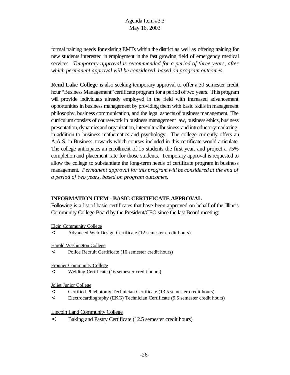formal training needs for existing EMTs within the district as well as offering training for new students interested in employment in the fast growing field of emergency medical services. *Temporary approval is recommended for a period of three years, after which permanent approval will be considered, based on program outcomes.*

**Rend Lake College** is also seeking temporary approval to offer a 30 semester credit hour "Business Management" certificate program for a period of two years. This program will provide individuals already employed in the field with increased advancement opportunities in business management by providing them with basic skills in management philosophy, business communication, and the legal aspects ofbusinessmanagement. The curriculumconsists of coursework in business management law, business ethics, business presentation, dynamicsand organization, interculturalbusiness,and introductorymarketing, in addition to business mathematics and psychology. The college currently offers an A.A.S. in Business, towards which courses included in this certificate would articulate. The college anticipates an enrollment of 15 students the first year, and project a 75% completion and placement rate for those students. Temporary approval is requested to allow the college to substantiate the long-term needs of certificate program in business management. *Permanent approval forthis program will be considered at the end of a period of two years, based on program outcomes.*

## **INFORMATION ITEM - BASIC CERTIFICATE APPROVAL**

Following is a list of basic certificates that have been approved on behalf of the Illinois Community College Board by the President/CEO since the last Board meeting:

Elgin Community College

< Advanced Web Design Certificate (12 semester credit hours)

Harold Washington College

< Police Recruit Certificate (16 semester credit hours)

Frontier Community College

< Welding Certificate (16 semester credit hours)

Joliet Junior College

- < Certified Phlebotomy Technician Certificate (13.5 semester credit hours)
- < Electrocardiography (EKG) Technician Certificate (9.5 semester credit hours)

Lincoln Land Community College

< Baking and Pastry Certificate (12.5 semester credit hours)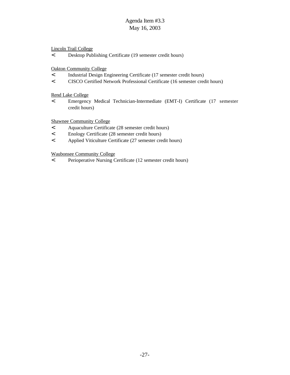Lincoln Trail College

< Desktop Publishing Certificate (19 semester credit hours)

Oakton Community College

- < Industrial Design Engineering Certificate (17 semester credit hours)
- < CISCO Certified Network Professional Certificate (16 semester credit hours)

Rend Lake College

< Emergency Medical Technician-Intermediate (EMT-I) Certificate (17 semester credit hours)

Shawnee Community College

- < Aquaculture Certificate (28 semester credit hours)
- < Enology Certificate (28 semester credit hours)
- < Applied Viticulture Certificate (27 semester credit hours)

Waubonsee Community College

< Perioperative Nursing Certificate (12 semester credit hours)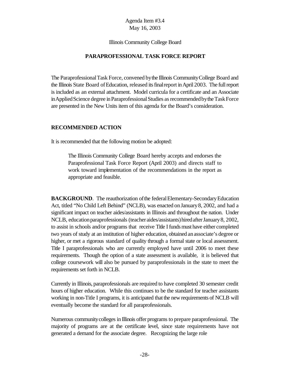#### Illinois Community College Board

#### **PARAPROFESSIONAL TASK FORCE REPORT**

The Paraprofessional Task Force, convened by the Illinois Community College Board and the Illinois State Board of Education, released its final report in April 2003. The full report is included as an external attachment. Model curricula for a certificate and an Associate in Applied Science degree in Paraprofessional Studies as recommended by the Task Force are presented in the New Units item of this agenda for the Board's consideration.

#### **RECOMMENDED ACTION**

It is recommended that the following motion be adopted:

The Illinois Community College Board hereby accepts and endorses the Paraprofessional Task Force Report (April 2003) and directs staff to work toward implementation of the recommendations in the report as appropriate and feasible.

**BACKGROUND.** The reauthorization of the federal Elementary-Secondary Education Act, titled "No Child Left Behind" (NCLB), was enacted on January 8, 2002, and had a significant impact on teacher aides/assistants in Illinois and throughout the nation. Under NCLB, education paraprofessionals (teacher aides/assistants) hired after January 8, 2002, to assist in schools and/or programs that receive Title I fundsmust have either completed two years of study at an institution of higher education, obtained an associate's degree or higher, or met a rigorous standard of quality through a formal state or local assessment. Title I paraprofessionals who are currently employed have until 2006 to meet these requirements. Though the option of a state assessment is available, it is believed that college coursework will also be pursued by paraprofessionals in the state to meet the requirements set forth in NCLB.

Currently in Illinois, paraprofessionals are required to have completed 30 semester credit hours of higher education. While this continues to be the standard for teacher assistants working in non-Title I programs, it is anticipated that the new requirements of NCLB will eventually become the standard for all paraprofessionals.

Numerous communitycolleges in Illinois offer programs to prepare paraprofessional. The majority of programs are at the certificate level, since state requirements have not generated a demand for the associate degree. Recognizing the large role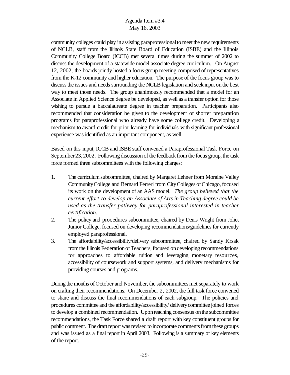community colleges could play in assisting paraprofessionalto meet the new requirements of NCLB, staff from the Illinois State Board of Education (ISBE) and the Illinois Community College Board (ICCB) met several times during the summer of 2002 to discuss the development of a statewide model associate degree curriculum. On August 12, 2002, the boards jointly hosted a focus group meeting comprised of representatives from the K-12 community and higher education. The purpose of the focus group was to discussthe issues and needs surrounding the NCLB legislation and seek input onthe best way to meet those needs. The group unanimously recommended that a model for an Associate in Applied Science degree be developed, as well as a transfer option for those wishing to pursue a baccalaureate degree in teacher preparation. Participants also recommended that consideration be given to the development of shorter preparation programs for paraprofessional who already have some college credit. Developing a mechanism to award credit for prior learning for individuals with significant professional experience was identified as an important component, as well.

Based on this input, ICCB and ISBE staff convened a Paraprofessional Task Force on September23,2002. Following discussion of the feedback from the focus group, the task force formed three subcommittees with the following charges:

- 1. The curriculumsubcommittee, chaired by Margaret Lehner from Moraine Valley Community College and Bernard Ferreri from City Colleges of Chicago, focused its work on the development of an AAS model. *The group believed that the current effort to develop an Associate of Arts in Teaching degree could be used as the transfer pathway for paraprofessional interested in teacher certification.*
- 2. The policy and procedures subcommittee, chaired by Denis Wright from Joliet Junior College, focused on developing recommendations/guidelines for currently employed paraprofessional.
- 3. The affordability/accessibility/delivery subcommittee, chaired by Sandy Krsak fromthe Illinois FederationofTeachers, focused ondeveloping recommendations for approaches to affordable tuition and leveraging monetary resources, accessibility of coursework and support systems, and delivery mechanisms for providing courses and programs.

During the months of October and November, the subcommittees met separately to work on crafting their recommendations. On December 2, 2002, the full task force convened to share and discuss the final recommendations of each subgroup. The policies and procedures committee and the affordability/accessibility/ deliverycommittee joined forces to develop a combined recommendation. Uponreaching consensus onthe subcommittee recommendations, the Task Force shared a draft report with key constituent groups for public comment. The draft report was revised to incorporate comments from these groups and was issued as a final report in April 2003. Following is a summary of key elements of the report.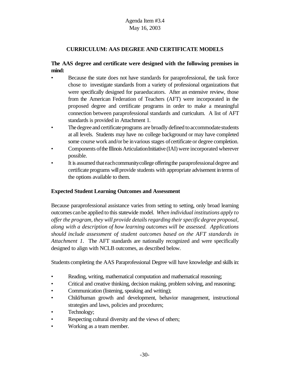# **CURRICULUM: AAS DEGREE AND CERTIFICATE MODELS**

# **The AAS degree and certificate were designed with the following premises in mind:**

- Because the state does not have standards for paraprofessional, the task force chose to investigate standards from a variety of professional organizations that were specifically designed for paraeducators. After an extensive review, those from the American Federation of Teachers (AFT) were incorporated in the proposed degree and certificate programs in order to make a meaningful connection between paraprofessional standards and curriculum. A list of AFT standards is provided in Attachment 1.
- The degree and certificate programs are broadly defined to accommodate students at all levels. Students may have no college background or may have completed some course work and/or be in various stages of certificate or degree completion.
- Components of the Illinois Articulation Initiative (IAI) were incorporated wherever possible.
- It is assumed that each community college offering the paraprofessional degree and certificate programs will provide students with appropriate advisement in terms of the options available to them.

## **Expected Student Learning Outcomes and Assessment**

Because paraprofessional assistance varies from setting to setting, only broad learning outcomes canbe applied to this statewide model. *When individual institutions apply to offer the program, they will provide detailsregarding theirspecificdegree proposal, along with a description of how learning outcomes will be assessed. Applications should include assessment of student outcomes based on the AFT standards in Attachment 1*. The AFT standards are nationally recognized and were specifically designed to align with NCLB outcomes, as described below.

Students completing the AAS Paraprofessional Degree will have knowledge and skillsin:

- Reading, writing, mathematical computation and mathematical reasoning;
- Critical and creative thinking, decision making, problem solving, and reasoning;
- Communication (listening, speaking and writing);
- Child/human growth and development, behavior management, instructional strategies and laws, policies and procedures;
- Technology;
- Respecting cultural diversity and the views of others;
- Working as a team member.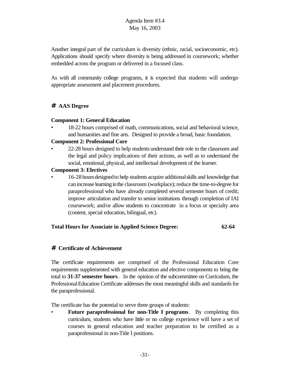Another integral part of the curriculum is diversity (ethnic, racial, socioeconomic, etc). Applications should specify where diversity is being addressed in coursework; whether embedded across the program or delivered in a focused class.

As with all community college programs, it is expected that students will undergo appropriate assessment and placement procedures.

# **# AAS Degree**

## **Component 1: General Education**

• 18-22 hours comprised of math, communications, social and behavioral science, and humanities and fine arts. Designed to provide a broad, basic foundation.

#### **Component 2: Professional Core**

• 22-28 hours designed to help students understand their role in the classroom and the legal and policy implications of their actions, as well as to understand the social, emotional, physical, and intellectual development of the learner.

#### **Component 3: Electives**

16-28 hours designed to help students acquire additional skills and knowledge that can increase learning in the classroom (workplace); reduce the time-to-degree for paraprofessional who have already completed several semester hours of credit; improve articulation and transfer to senior institutions through completion of IAI coursework; and/or allow students to concentrate in a focus or specialty area (content, special education, bilingual, etc).

## **Total Hours for Associate in Applied Science Degree: 62-64**

## **# Certificate of Achievement**

The certificate requirements are comprised of the Professional Education Core requirements supplemented with general education and elective components to bring the total to **31-37 semester hours**.In the opinion of the subcommittee on Curriculum, the Professional Education Certificate addresses the most meaningful skills and standards for the paraprofessional.

The certificate has the potential to serve three groups of students:

• **Future paraprofessional for non-Title I programs**. By completing this curriculum, students who have little or no college experience will have a set of courses in general education and teacher preparation to be certified as a paraprofessional in non-Title I positions.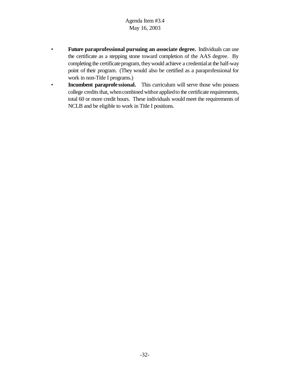- **Future paraprofessional pursuing an associate degree.** Individuals can use the certificate as a stepping stone toward completion of the AAS degree. By completing the certificate program, they would achieve a credential at the half-way point of their program. (They would also be certified as a paraprofessional for work in non-Title I programs.)
- **Incumbent paraprofe ssional.** This curriculum will serve those who possess college credits that, when combined withor applied to the certificate requirements, total 60 or more credit hours. These individuals would meet the requirements of NCLB and be eligible to work in Title I positions.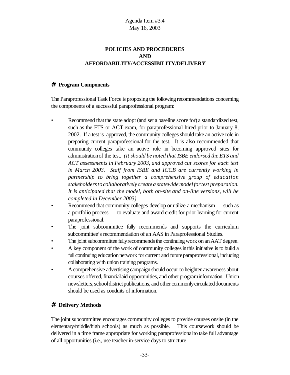# **POLICIES AND PROCEDURES AND AFFORDABILITY/ACCESSIBILITY/DELIVERY**

#### **# Program Components**

The ParaprofessionalTask Force is proposing the following recommendations concerning the components of a successful paraprofessional program:

- Recommend that the state adopt (and set a baseline score for) a standardized test, such as the ETS or ACT exam, for paraprofessional hired prior to January 8, 2002. If a test is approved, the community colleges should take an active role in preparing current paraprofessional for the test. It is also recommended that community colleges take an active role in becoming approved sites for administrationof the test. *(It should be noted that ISBE endorsed the ETS and ACT assessments in February 2003, and approved cut scores for each test in March 2003. Staff from ISBE and ICCB are currently working in partnership to bring together a comprehensive group of education stakeholderstocollaboratively create a statewidemodelfortest preparation. It is anticipated that the model, both on-site and on-line versions, will be completed in December 2003).*
- Recommend that community colleges develop or utilize a mechanism such as a portfolio process — to evaluate and award credit for prior learning for current paraprofessional.
- The joint subcommittee fully recommends and supports the curriculum subcommittee's recommendation of an AAS in Paraprofessional Studies.
- The joint subcommittee fully recommends the continuing work on an AAT degree.
- A key component of the work of community colleges in this initiative is to build a full continuing education network for current and future paraprofessional, including collaborating with union training programs.
- A comprehensive advertising campaign should occur to heighten awareness about courses offered, financial aid opportunities, and other programinformation. Union newsletters, school district publications, and other commonly circulated documents should be used as conduits of information.

# **# Delivery Methods**

The joint subcommittee encourages community colleges to provide courses onsite (in the elementary/middle/high schools) as much as possible. This coursework should be delivered in a time frame appropriate for working paraprofessionalto take full advantage of all opportunities (i.e., use teacher in-service days to structure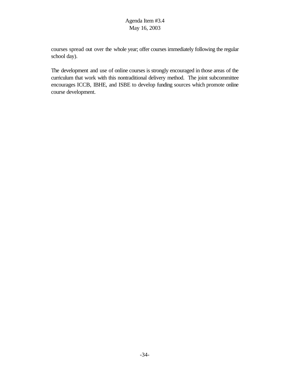courses spread out over the whole year; offer courses immediately following the regular school day).

The development and use of online courses is strongly encouraged in those areas of the curriculum that work with this nontraditional delivery method. The joint subcommittee encourages ICCB, IBHE, and ISBE to develop funding sources which promote online course development.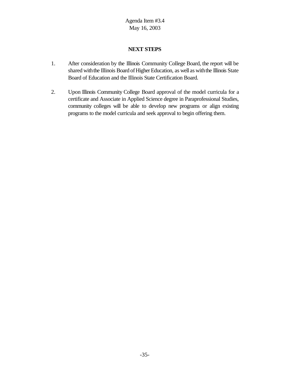## **NEXT STEPS**

- 1. After consideration by the Illinois Community College Board, the report will be shared with the Illinois Board of Higher Education, as well as with the Illinois State Board of Education and the Illinois State Certification Board.
- 2. Upon Illinois Community College Board approval of the model curricula for a certificate and Associate in Applied Science degree in Paraprofessional Studies, community colleges will be able to develop new programs or align existing programs to the model curricula and seek approval to begin offering them.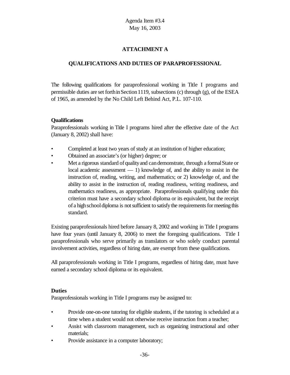# **ATTACHMENT A**

# **QUALIFICATIONS AND DUTIES OF PARAPROFESSIONAL**

The following qualifications for paraprofessional working in Title I programs and permissible duties are set forth in Section 1119, subsections (c) through  $(g)$ , of the ESEA of 1965, as amended by the No Child Left Behind Act, P.L. 107-110.

## **Qualifications**

Paraprofessionals working in Title I programs hired after the effective date of the Act (January 8, 2002) shall have:

- Completed at least two years of study at an institution of higher education;
- Obtained an associate's (or higher) degree; or
- Met a rigorous standard of quality and can demonstrate, through a formal State or local academic assessment — 1) knowledge of, and the ability to assist in the instruction of, reading, writing, and mathematics; or 2) knowledge of, and the ability to assist in the instruction of, reading readiness, writing readiness, and mathematics readiness, as appropriate. Paraprofessionals qualifying under this criterion must have a secondary school diploma or its equivalent, but the receipt of a high school diploma is not sufficient to satisfy the requirements for meeting this standard.

Existing paraprofessionals hired before January 8, 2002 and working in Title I programs have four years (until January 8, 2006) to meet the foregoing qualifications. Title I paraprofessionals who serve primarily as translators or who solely conduct parental involvement activities, regardless of hiring date, are exempt from these qualifications.

All paraprofessionals working in Title I programs, regardless of hiring date, must have earned a secondary school diploma or its equivalent.

## **Duties**

Paraprofessionals working in Title I programs may be assigned to:

- Provide one-on-one tutoring for eligible students, if the tutoring is scheduled at a time when a student would not otherwise receive instruction from a teacher;
- Assist with classroom management, such as organizing instructional and other materials;
- Provide assistance in a computer laboratory;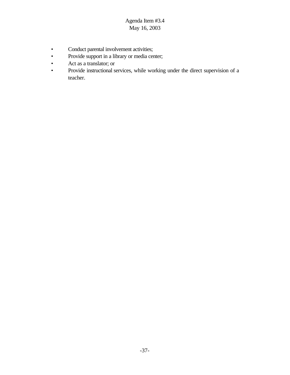- Conduct parental involvement activities;
- Provide support in a library or media center;
- Act as a translator; or
- Provide instructional services, while working under the direct supervision of a teacher.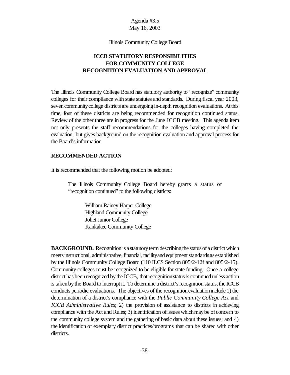## Agenda #3.5 May 16, 2003

#### Illinois Community College Board

# **ICCB STATUTORY RESPONSIBILITIES FOR COMMUNITY COLLEGE RECOGNITION EVALUATION AND APPROVAL**

The Illinois Community College Board has statutory authority to "recognize" community colleges for their compliance with state statutes and standards. During fiscal year 2003, seven community college districts are undergoing in-depth recognition evaluations. At this time, four of these districts are being recommended for recognition continued status. Review of the other three are in progress for the June ICCB meeting. This agenda item not only presents the staff recommendations for the colleges having completed the evaluation, but gives background on the recognition evaluation and approval process for the Board's information.

#### **RECOMMENDED ACTION**

It is recommended that the following motion be adopted:

The Illinois Community College Board hereby grants a status of "recognition continued" to the following districts:

> William Rainey Harper College Highland Community College Joliet Junior College Kankakee Community College

**BACKGROUND.** Recognition is a statutory term describing the status of a district which meets instructional, administrative, financial, facility and equipment standards as established by the Illinois Community College Board (110 ILCS Section 805/2-12f and 805/2-15). Community colleges must be recognized to be eligible for state funding. Once a college district has been recognized by the ICCB, that recognition status is continued unless action is taken by the Board to interrupt it. To determine a district's recognition status, the ICCB conducts periodic evaluations. The objectives of the recognition evaluation include 1) the determination of a district's compliance with the *Public Community College Act* and *ICCB Administrative Rules*; 2) the provision of assistance to districts in achieving compliance with the Act and Rules; 3) identification of issues which may be of concern to the community college system and the gathering of basic data about these issues; and 4) the identification of exemplary district practices/programs that can be shared with other districts.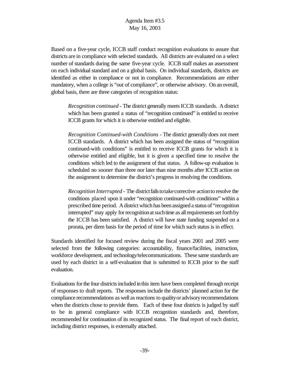Based on a five-year cycle, ICCB staff conduct recognition evaluations to assure that districts are in compliance with selected standards. All districts are evaluated on a select number of standards during the same five-year cycle. ICCB staff makes an assessment on each individual standard and on a global basis. On individual standards, districts are identified as either in compliance or not in compliance. Recommendations are either mandatory, when a college is "out of compliance", or otherwise advisory. On an overall, global basis, there are three categories of recognition status:

*Recognition continued* - The district generallymeetsICCB standards. A district which has been granted a status of "recognition continued" is entitled to receive ICCB grants for which it is otherwise entitled and eligible.

*Recognition Continued-with Conditions* - The district generally does not meet ICCB standards. A district which has been assigned the status of "recognition continued-with conditions" is entitled to receive ICCB grants for which it is otherwise entitled and eligible, but it is given a specified time to resolve the conditions which led to the assignment of that status. A follow-up evaluation is scheduled no sooner than three nor later than nine months after ICCB action on the assignment to determine the district's progress in resolving the conditions.

*Recognition Interrupted* - The district fails to take corrective action to resolve the conditions placed upon it under "recognition continued-with conditions" within a prescribed time period. A district which has been assigned a status of "recognition interrupted" may apply for recognition at such time as all requirements set forth by the ICCB has been satisfied. A district will have state funding suspended on a prorata, per diem basis for the period of time for which such status is in effect.

Standards identified for focused review during the fiscal years 2001 and 2005 were selected from the following categories: accountability, finance/facilities, instruction, workforce development, and technology/telecommunications. These same standards are used by each district in a self-evaluation that is submitted to ICCB prior to the staff evaluation.

Evaluations forthe four districtsincluded inthis item have been completed through receipt of responses to draft reports. The responses include the districts' planned action for the compliance recommendations as well asreactions to qualityor advisoryrecommendations when the districts chose to provide them. Each of these four districts is judged by staff to be in general compliance with ICCB recognition standards and, therefore, recommended for continuation of its recognized status. The final report of each district, including district responses, is externally attached.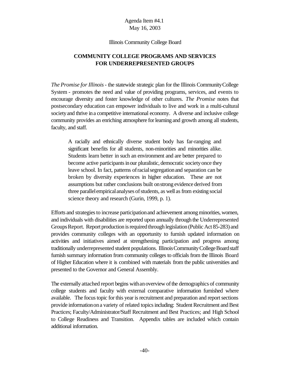#### Illinois Community College Board

# **COMMUNITY COLLEGE PROGRAMS AND SERVICES FOR UNDERREPRESENTED GROUPS**

*The Promise forIllinois*- the statewide strategic plan for the Illinois CommunityCollege System - promotes the need and value of providing programs, services, and events to encourage diversity and foster knowledge of other cultures. *The Promise* notes that postsecondary education can empower individuals to live and work in a multi-cultural society and thrive in a competitive international economy. A diverse and inclusive college community provides an enriching atmosphere forlearning and growth among all students, faculty, and staff.

A racially and ethnically diverse student body has far-ranging and significant benefits for all students, non-minorities and minorities alike. Students learn better in such an environment and are better prepared to become active participants in our pluralistic, democratic society once they leave school. In fact, patterns ofracialsegregationand separation can be broken by diversity experiences in higher education. These are not assumptions but rather conclusions built onstrong evidence derived from three parallel empirical analyses of students, as well as from existing social science theory and research (Gurin, 1999, p. 1).

Efforts and strategies to increase participation and achievement among minorities, women, and individuals with disabilities are reported upon annually through the Underrepresented GroupsReport. Report production is required through legislation (Public Act 85-283) and provides community colleges with an opportunity to furnish updated information on activities and initiatives aimed at strengthening participation and progress among traditionally underrepresented student populations. Illinois Community College Board staff furnish summary information from community colleges to officials from the Illinois Board of Higher Education where it is combined with materials from the public universities and presented to the Governor and General Assembly.

The externally attached report begins with an overview of the demographics of community college students and faculty with external comparative information furnished where available. The focus topic for this year is recruitment and preparation and report sections provide informationona variety of related topicsincluding: Student Recruitment and Best Practices; Faculty/Administrator/Staff Recruitment and Best Practices; and High School to College Readiness and Transition. Appendix tables are included which contain additional information.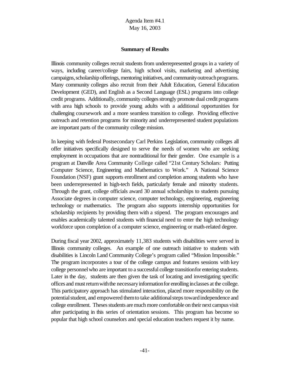#### **Summary of Results**

Illinois community colleges recruit students from underrepresented groups in a variety of ways, including career/college fairs, high school visits, marketing and advertising campaigns, scholarship offerings, mentoring initiatives, and community outreach programs. Many community colleges also recruit from their Adult Education, General Education Development (GED), and English as a Second Language (ESL) programs into college credit programs. Additionally, community colleges strongly promote dual credit programs with area high schools to provide young adults with a additional opportunities for challenging coursework and a more seamless transition to college. Providing effective outreach and retention programs for minority and underrepresented student populations are important parts of the community college mission.

In keeping with federal Postsecondary Carl Perkins Legislation, community colleges all offer initiatives specifically designed to serve the needs of women who are seeking employment in occupations that are nontraditional for their gender. One example is a program at Danville Area Community College called "21st Century Scholars: Putting Computer Science, Engineering and Mathematics to Work." A National Science Foundation (NSF) grant supports enrollment and completion among students who have been underrepresented in high-tech fields, particularly female and minority students. Through the grant, college officials award 30 annual scholarships to students pursuing Associate degrees in computer science, computer technology, engineering, engineering technology or mathematics. The program also supports internship opportunities for scholarship recipients by providing them with a stipend. The program encourages and enables academically talented students with financial need to enter the high technology workforce upon completion of a computer science, engineering or math-related degree.

During fiscal year 2002, approximately 11,383 students with disabilities were served in Illinois community colleges. An example of one outreach initiative to students with disabilities is Lincoln Land Community College's program called "Mission Impossible." The program incorporates a tour of the college campus and features sessions with key college personnelwho are important to a successful college transitionfor entering students. Later in the day, students are then given the task of locating and investigating specific offices and must return with the necessary information for enrolling inclasses at the college. This participatory approach has stimulated interaction, placed more responsibility on the potential student, and empowered them to take additional steps toward independence and college enrollment. Theses students are much more comfortable on their next campus visit after participating in this series of orientation sessions. This program has become so popular that high school counselors and special education teachers request it by name.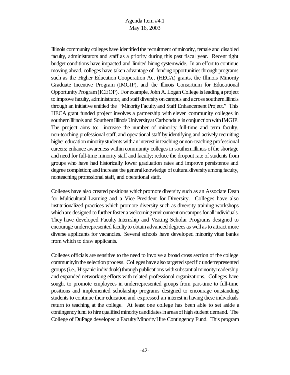Illinois community colleges have identified the recruitment of minority, female and disabled faculty, administrators and staff as a priority during this past fiscal year. Recent tight budget conditions have impacted and limited hiring systemwide. In an effort to continue moving ahead, colleges have taken advantage of funding opportunities through programs such as the Higher Education Cooperation Act (HECA) grants, the Illinois Minority Graduate Incentive Program (IMGIP), and the Illinois Consortium for Educational OpportunityProgram(ICEOP). For example, John A. Logan College is leading a project to improve faculty, administrator, and staff diversity on campus and across southern Illinois through an initiative entitled the "MinorityFacultyand Staff Enhancement Project." This HECA grant funded project involves a partnership with eleven community colleges in southern Illinois and Southern Illinois University at Carbondale in conjunction with IMGIP. The project aims to: increase the number of minority full-time and term faculty, non-teaching professional staff, and operational staff by identifying and actively recruiting higher education minority students with an interest in teaching or non-teaching professional careers; enhance awareness within community colleges in southernIllinois ofthe shortage and need for full-time minority staff and faculty; reduce the dropout rate of students from groups who have had historically lower graduation rates and improve persistence and degree completion; and increase the general knowledge of cultural diversity among faculty, nonteaching professional staff, and operational staff.

Colleges have also created positions whichpromote diversity such as an Associate Dean for Multicultural Learning and a Vice President for Diversity. Colleges have also institutionalized practices which promote diversity such as diversity training workshops which are designed to further foster a welcoming environment on campus for all individuals. They have developed Faculty Internship and Visiting Scholar Programs designed to encourage underrepresented facultyto obtain advanced degrees as well asto attract more diverse applicants for vacancies. Several schools have developed minority vitae banks from which to draw applicants.

Colleges officials are sensitive to the need to involve a broad cross section of the college community in the selection process. Colleges have also targeted specific underrepresented groups (i.e., Hispanic individuals) through publications with substantial minority readership and expanded networking efforts with related professional organizations. Colleges have sought to promote employees in underrepresented groups from part-time to full-time positions and implemented scholarship programs designed to encourage outstanding students to continue their education and expressed an interest in having these individuals return to teaching at the college. At least one college has been able to set aside a contingency fund to hire qualified minority candidates in areas of high student demand. The College of DuPage developed a FacultyMinorityHire Contingency Fund. This program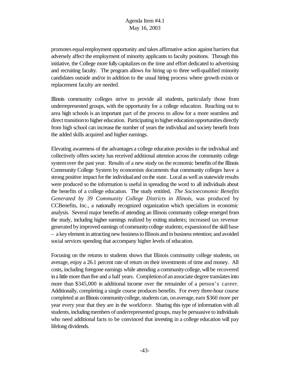promotes equal employment opportunity and takes affirmative action against barriers that adversely affect the employment of minority applicants to faculty positions. Through this initiative, the College more fully capitalizes on the time and effort dedicated to advertising and recruiting faculty. The program allows for hiring up to three well-qualified minority candidates outside and/or in addition to the usual hiring process where growth exists or replacement faculty are needed.

Illinois community colleges strive to provide all students, particularly those from underrepresented groups, with the opportunity for a college education. Reaching out to area high schools is an important part of the process to allow for a more seamless and direct transitionto higher education. Participating in higher education opportunities directly from high school can increase the number of years the individual and society benefit from the added skills acquired and higher earnings.

Elevating awareness of the advantages a college education provides to the individual and collectively offers society has received additional attention across the community college system over the past year. Results of a new study on the economic benefits of the Illinois Community College System by economists documents that community colleges have a strong positive impact for the individual and on the state. Local as well as statewide results were produced so the information is useful in spreading the word to all individuals about the benefits of a college education. The study entitled, *The Socioeconomic Benefits Generated by 39 Community College Districts in Illinois*, was produced by CCBenefits, Inc., a nationally recognized organization which specializes in economic analysis. Several major benefits of attending an Illinois community college emerged from the study, including higher earnings realized by exiting students; increased tax revenue generated byimproved earnings of communitycollege students; expansionofthe skill base – a key element in attracting new business to Illinois and in business retention; and avoided social services spending that accompany higher levels of education.

Focusing on the returns to students shows that Illinois community college students, on average, enjoy a 26.1 percent rate of return on their investments of time and money. All costs, including foregone earnings while attending a communitycollege, willbe recovered in a little more than five and a half years. Completion of an associate degree translates into more than \$345,000 in additional income over the remainder of a person's career. Additionally, completing a single course produces benefits. For every three-hour course completed at an Illinois community college, students can, on average, earn \$360 more per year every year that they are in the workforce. Sharing this type of information with all students, including members of underrepresented groups, may be persuasive to individuals who need additional facts to be convinced that investing in a college education will pay lifelong dividends.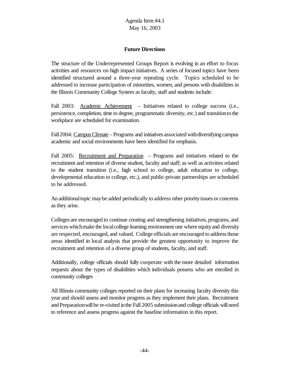# **Future Directions**

The structure of the Underrepresented Groups Report is evolving in an effort to focus activities and resources on high impact initiatives. A series of focused topics have been identified structured around a three-year repeating cycle. Topics scheduled to be addressed to increase participation of minorities, women, and persons with disabilities in the Illinois Community College System as faculty, staff and students include:

Fall 2003: Academic Achievement – Initiatives related to college success (i.e., persistence, completion, time to degree, programmatic diversity, etc.) and transitionto the workplace are scheduled for examination.

Fall 2004: Campus Climate – Programs and initiatives associated with diversifying campus academic and social environments have been identified for emphasis.

Fall 2005: Recruitment and Preparation – Programs and initiatives related to the recruitment and retention of diverse student, faculty and staff; as well as activities related to the student transition (i.e., high school to college, adult education to college, developmental education to college, etc.), and public-private partnerships are scheduled to be addressed.

An additional topic may be added periodically to address other priority issues or concerns as they arise.

Colleges are encouraged to continue creating and strengthening initiatives, programs, and services which make the local college learning environment one where equity and diversity are respected, encouraged, and valued. College officials are encouraged to address those areas identified in local analysis that provide the greatest opportunity to improve the recruitment and retention of a diverse group of students, faculty, and staff.

Additionally, college officials should fully cooperate with the more detailed information requests about the types of disabilities which individuals possess who are enrolled in community colleges

All Illinois community colleges reported on their plans for increasing faculty diversity this year and should assess and monitor progress as they implement their plans. Recruitment and Preparation will be re-visited in the Fall 2005 submission and college officials will need to reference and assess progress against the baseline information in this report.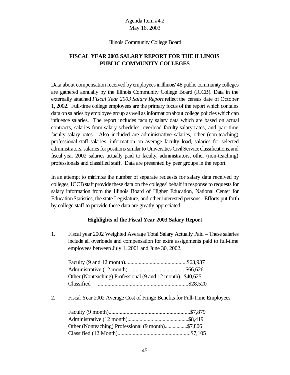#### Illinois Community College Board

# **FISCAL YEAR 2003 SALARY REPORT FOR THE ILLINOIS PUBLIC COMMUNITY COLLEGES**

Data about compensation received by employees in Illinois' 48 public community colleges are gathered annually by the Illinois Community College Board (ICCB). Data in the externally attached *Fiscal Year 2003 Salary Report* reflect the census date of October 1, 2002. Full-time college employees are the primary focus of the report which contains data on salaries by employee group as well as information about college policies which can influence salaries. The report includes faculty salary data which are based on actual contracts, salaries from salary schedules, overload faculty salary rates, and part-time faculty salary rates. Also included are administrative salaries, other (non-teaching) professional staff salaries, information on average faculty load, salaries for selected administrators, salaries for positions similar to Universities Civil Service classifications, and fiscal year 2002 salaries actually paid to faculty, administrators, other (non-teaching) professionals and classified staff. Data are presented by peer groups in the report.

In an attempt to minimize the number of separate requests for salary data received by colleges, ICCB staff provide these data on the colleges' behalf in response to requests for salary information from the Illinois Board of Higher Education, National Center for EducationStatistics, the state Legislature, and other interested persons. Efforts put forth by college staff to provide these data are greatly appreciated.

#### **Highlights of the Fiscal Year 2003 Salary Report**

1. Fiscal year 2002 Weighted Average Total Salary Actually Paid – These salaries include all overloads and compensation for extra assignments paid to full-time employees between July 1, 2001 and June 30, 2002.

| Other (Nonteaching) Professional (9 and 12 month)\$40,625 |  |
|-----------------------------------------------------------|--|
|                                                           |  |

2. Fiscal Year 2002 Average Cost of Fringe Benefits for Full-Time Employees.

| Other (Nonteaching) Professional (9 month)\$7,806 |  |
|---------------------------------------------------|--|
|                                                   |  |